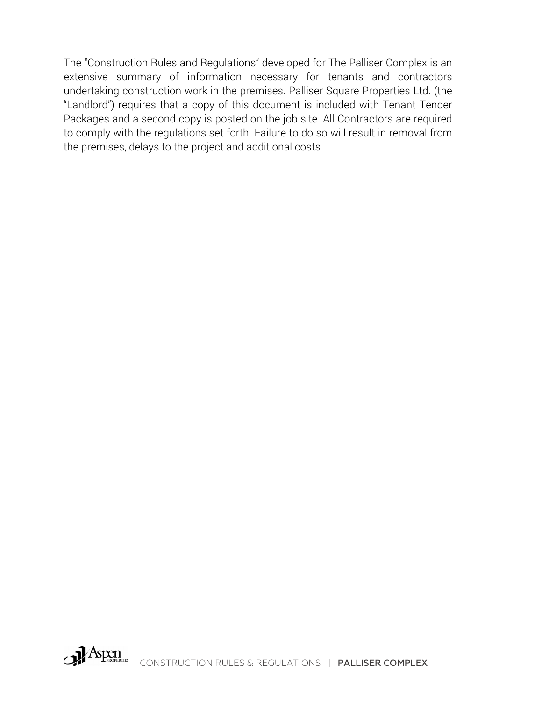The "Construction Rules and Regulations" developed for The Palliser Complex is an extensive summary of information necessary for tenants and contractors undertaking construction work in the premises. Palliser Square Properties Ltd. (the "Landlord") requires that a copy of this document is included with Tenant Tender Packages and a second copy is posted on the job site. All Contractors are required to comply with the regulations set forth. Failure to do so will result in removal from the premises, delays to the project and additional costs.

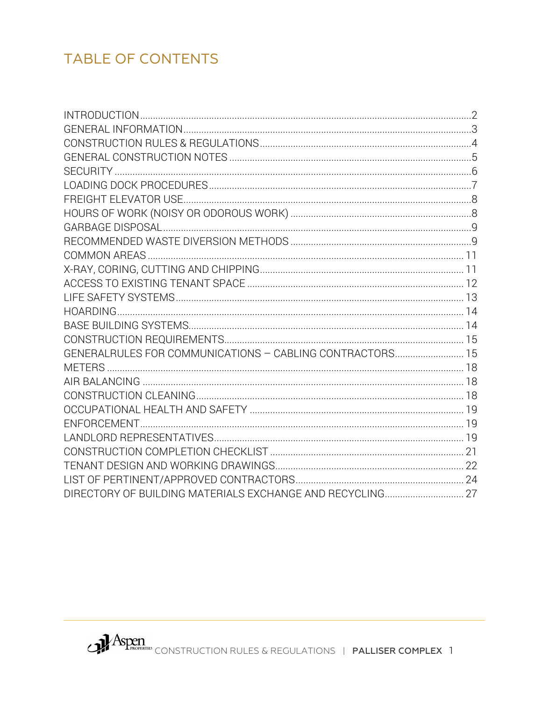# **TABLE OF CONTENTS**

| GENERALRULES FOR COMMUNICATIONS - CABLING CONTRACTORS 15 |  |
|----------------------------------------------------------|--|
|                                                          |  |
|                                                          |  |
|                                                          |  |
|                                                          |  |
|                                                          |  |
|                                                          |  |
|                                                          |  |
|                                                          |  |
|                                                          |  |
|                                                          |  |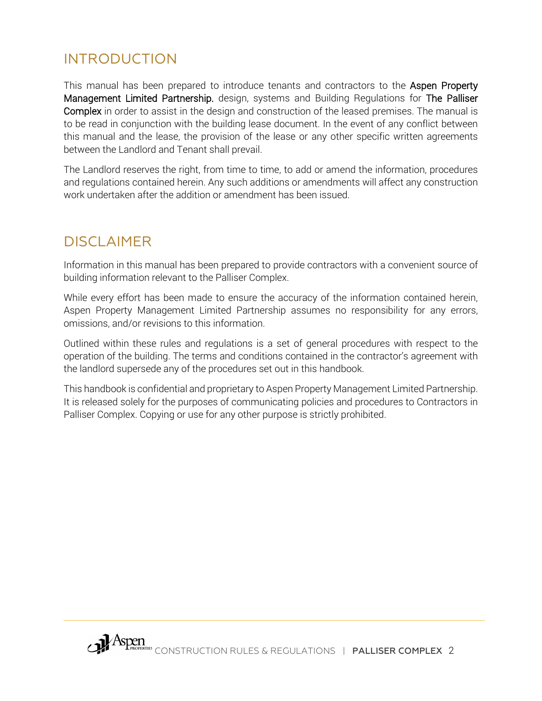# <span id="page-2-0"></span>INTRODUCTION

This manual has been prepared to introduce tenants and contractors to the Aspen Property Management Limited Partnership. design, systems and Building Regulations for The Palliser Complex in order to assist in the design and construction of the leased premises. The manual is to be read in conjunction with the building lease document. In the event of any conflict between this manual and the lease, the provision of the lease or any other specific written agreements between the Landlord and Tenant shall prevail.

The Landlord reserves the right, from time to time, to add or amend the information, procedures and regulations contained herein. Any such additions or amendments will affect any construction work undertaken after the addition or amendment has been issued.

# DISCLAIMER

Information in this manual has been prepared to provide contractors with a convenient source of building information relevant to the Palliser Complex.

While every effort has been made to ensure the accuracy of the information contained herein, Aspen Property Management Limited Partnership assumes no responsibility for any errors, omissions, and/or revisions to this information.

Outlined within these rules and regulations is a set of general procedures with respect to the operation of the building. The terms and conditions contained in the contractor's agreement with the landlord supersede any of the procedures set out in this handbook.

This handbook is confidential and proprietary to Aspen Property Management Limited Partnership. It is released solely for the purposes of communicating policies and procedures to Contractors in Palliser Complex. Copying or use for any other purpose is strictly prohibited.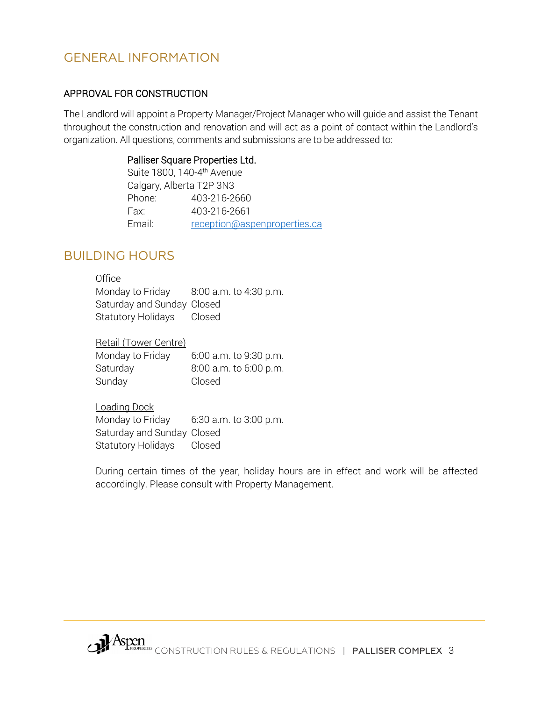### <span id="page-3-0"></span>GENERAL INFORMATION

#### APPROVAL FOR CONSTRUCTION

The Landlord will appoint a Property Manager/Project Manager who will guide and assist the Tenant throughout the construction and renovation and will act as a point of contact within the Landlord's organization. All questions, comments and submissions are to be addressed to:

#### Palliser Square Properties Ltd.

| Suite 1800, 140-4 <sup>th</sup> Avenue |
|----------------------------------------|
| Calgary, Alberta T2P 3N3               |
| 403-216-2660                           |
| 403-216-2661                           |
| reception@aspenproperties.ca           |
|                                        |

### BUILDING HOURS

#### **Office**

Monday to Friday 8:00 a.m. to 4:30 p.m. Saturday and Sunday Closed Statutory Holidays Closed

Retail (Tower Centre)

| Monday to Friday | 6:00 a.m. to 9:30 p.m. |
|------------------|------------------------|
| Saturday         | 8:00 a.m. to 6:00 p.m. |
| Sunday           | Closed                 |

Loading Dock

Monday to Friday 6:30 a.m. to 3:00 p.m. Saturday and Sunday Closed Statutory Holidays Closed

During certain times of the year, holiday hours are in effect and work will be affected accordingly. Please consult with Property Management.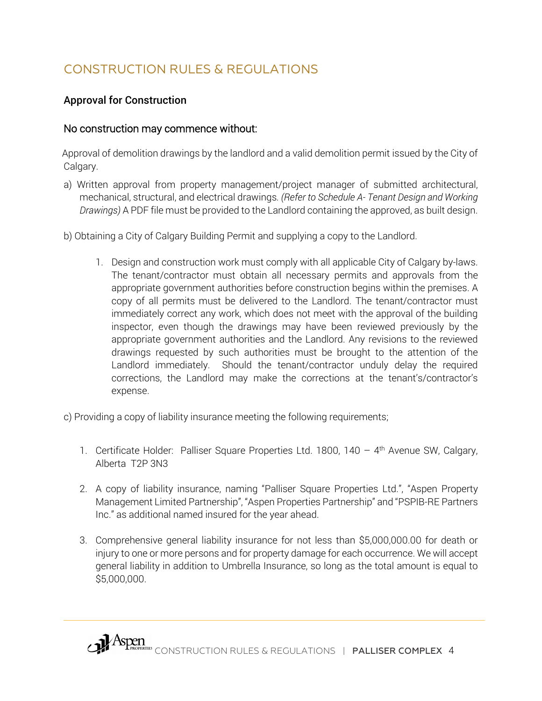# <span id="page-4-0"></span>CONSTRUCTION RULES & REGULATIONS

### Approval for Construction

### No construction may commence without:

Approval of demolition drawings by the landlord and a valid demolition permit issued by the City of Calgary.

- a) Written approval from property management/project manager of submitted architectural, mechanical, structural, and electrical drawings*. (Refer to Schedule A- Tenant Design and Working Drawings)* A PDF file must be provided to the Landlord containing the approved, as built design.
- b) Obtaining a City of Calgary Building Permit and supplying a copy to the Landlord.
	- 1. Design and construction work must comply with all applicable City of Calgary by-laws. The tenant/contractor must obtain all necessary permits and approvals from the appropriate government authorities before construction begins within the premises. A copy of all permits must be delivered to the Landlord. The tenant/contractor must immediately correct any work, which does not meet with the approval of the building inspector, even though the drawings may have been reviewed previously by the appropriate government authorities and the Landlord. Any revisions to the reviewed drawings requested by such authorities must be brought to the attention of the Landlord immediately. Should the tenant/contractor unduly delay the required corrections, the Landlord may make the corrections at the tenant's/contractor's expense.

c) Providing a copy of liability insurance meeting the following requirements;

- 1. Certificate Holder: Palliser Square Properties Ltd. 1800, 140  $-$  4<sup>th</sup> Avenue SW, Calgary, Alberta T2P 3N3
- 2. A copy of liability insurance, naming "Palliser Square Properties Ltd.", "Aspen Property Management Limited Partnership", "Aspen Properties Partnership" and "PSPIB-RE Partners Inc." as additional named insured for the year ahead.
- 3. Comprehensive general liability insurance for not less than \$5,000,000.00 for death or injury to one or more persons and for property damage for each occurrence. We will accept general liability in addition to Umbrella Insurance, so long as the total amount is equal to \$5,000,000.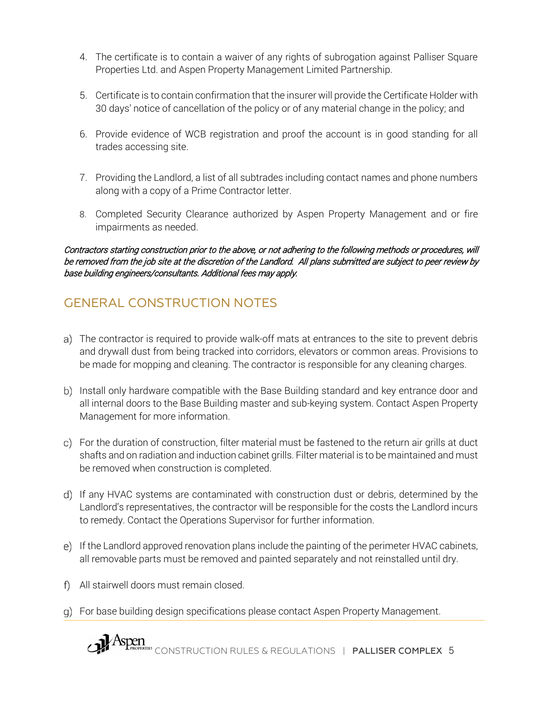- 4. The certificate is to contain a waiver of any rights of subrogation against Palliser Square Properties Ltd. and Aspen Property Management Limited Partnership.
- 5. Certificate is to contain confirmation that the insurer will provide the Certificate Holder with 30 days' notice of cancellation of the policy or of any material change in the policy; and
- 6. Provide evidence of WCB registration and proof the account is in good standing for all trades accessing site.
- 7. Providing the Landlord, a list of all subtrades including contact names and phone numbers along with a copy of a Prime Contractor letter.
- 8. Completed Security Clearance authorized by Aspen Property Management and or fire impairments as needed.

Contractors starting construction prior to the above, or not adhering to the following methods or procedures, will be removed from the job site at the discretion of the Landlord. All plans submitted are subject to peer review by base building engineers/consultants. Additional fees may apply.

# <span id="page-5-0"></span>GENERAL CONSTRUCTION NOTES

- The contractor is required to provide walk-off mats at entrances to the site to prevent debris and drywall dust from being tracked into corridors, elevators or common areas. Provisions to be made for mopping and cleaning. The contractor is responsible for any cleaning charges.
- b) Install only hardware compatible with the Base Building standard and key entrance door and all internal doors to the Base Building master and sub-keying system. Contact Aspen Property Management for more information.
- For the duration of construction, filter material must be fastened to the return air grills at duct shafts and on radiation and induction cabinet grills. Filter material is to be maintained and must be removed when construction is completed.
- If any HVAC systems are contaminated with construction dust or debris, determined by the Landlord's representatives, the contractor will be responsible for the costs the Landlord incurs to remedy. Contact the Operations Supervisor for further information.
- If the Landlord approved renovation plans include the painting of the perimeter HVAC cabinets, all removable parts must be removed and painted separately and not reinstalled until dry.
- All stairwell doors must remain closed.
- For base building design specifications please contact Aspen Property Management.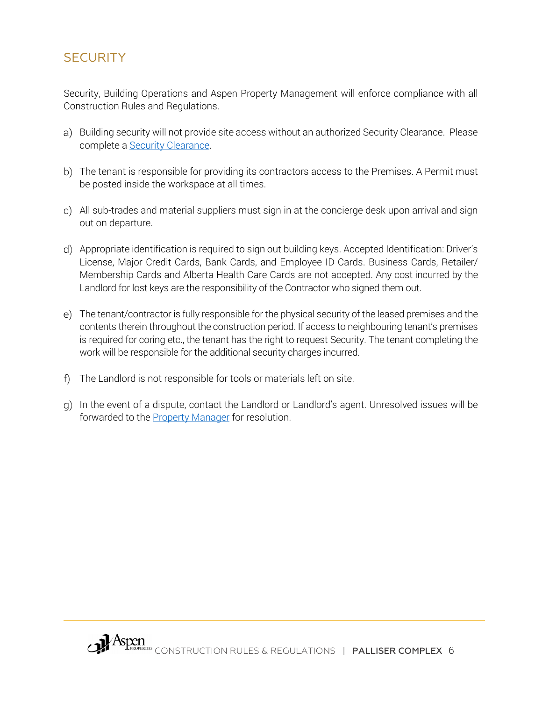### <span id="page-6-0"></span>**SECURITY**

Security, Building Operations and Aspen Property Management will enforce compliance with all Construction Rules and Regulations.

- a) Building security will not provide site access without an authorized Security Clearance. Please complete a **Security Clearance**.
- b) The tenant is responsible for providing its contractors access to the Premises. A Permit must be posted inside the workspace at all times.
- All sub-trades and material suppliers must sign in at the concierge desk upon arrival and sign out on departure.
- Appropriate identification is required to sign out building keys. Accepted Identification: Driver's License, Major Credit Cards, Bank Cards, and Employee ID Cards. Business Cards, Retailer/ Membership Cards and Alberta Health Care Cards are not accepted. Any cost incurred by the Landlord for lost keys are the responsibility of the Contractor who signed them out.
- The tenant/contractor is fully responsible for the physical security of the leased premises and the contents therein throughout the construction period. If access to neighbouring tenant's premises is required for coring etc., the tenant has the right to request Security. The tenant completing the work will be responsible for the additional security charges incurred.
- The Landlord is not responsible for tools or materials left on site.
- g) In the event of a dispute, contact the Landlord or Landlord's agent. Unresolved issues will be forwarded to the Property Manager for resolution.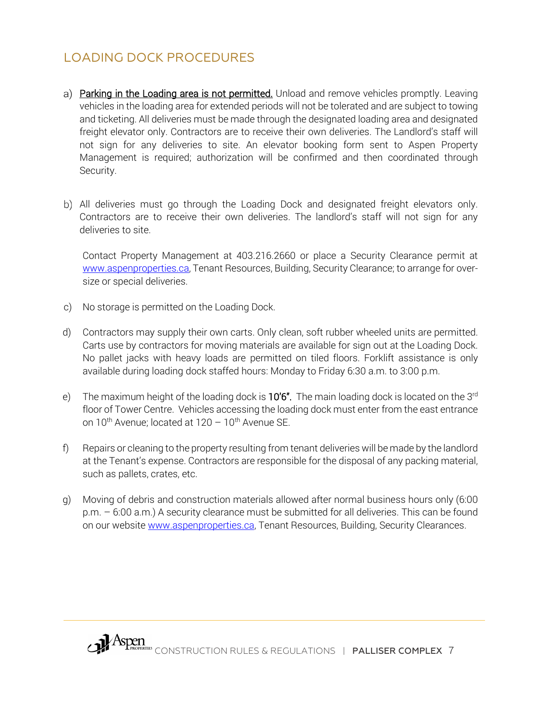## <span id="page-7-0"></span>LOADING DOCK PROCEDURES

- a) Parking in the Loading area is not permitted. Unload and remove vehicles promptly. Leaving vehicles in the loading area for extended periods will not be tolerated and are subject to towing and ticketing. All deliveries must be made through the designated loading area and designated freight elevator only. Contractors are to receive their own deliveries. The Landlord's staff will not sign for any deliveries to site. An elevator booking form sent to Aspen Property Management is required; authorization will be confirmed and then coordinated through Security.
- b) All deliveries must go through the Loading Dock and designated freight elevators only. Contractors are to receive their own deliveries. The landlord's staff will not sign for any deliveries to site.

Contact Property Management at 403.216.2660 or place a Security Clearance permit at [www.aspenproperties.ca,](http://www.aspenproperties.ca/) Tenant Resources, Building, Security Clearance; to arrange for oversize or special deliveries.

- c) No storage is permitted on the Loading Dock.
- d) Contractors may supply their own carts. Only clean, soft rubber wheeled units are permitted. Carts use by contractors for moving materials are available for sign out at the Loading Dock. No pallet jacks with heavy loads are permitted on tiled floors. Forklift assistance is only available during loading dock staffed hours: Monday to Friday 6:30 a.m. to 3:00 p.m.
- e) The maximum height of the loading dock is  $10'6''$ . The main loading dock is located on the 3<sup>rd</sup> floor of Tower Centre. Vehicles accessing the loading dock must enter from the east entrance on  $10^{th}$  Avenue; located at  $120 - 10^{th}$  Avenue SE.
- f) Repairs or cleaning to the property resulting from tenant deliveries will be made by the landlord at the Tenant's expense. Contractors are responsible for the disposal of any packing material, such as pallets, crates, etc.
- g) Moving of debris and construction materials allowed after normal business hours only (6:00 p.m. – 6:00 a.m.) A security clearance must be submitted for all deliveries. This can be found on our website [www.aspenproperties.ca,](http://www.aspenproperties.ca/) Tenant Resources, Building, Security Clearances.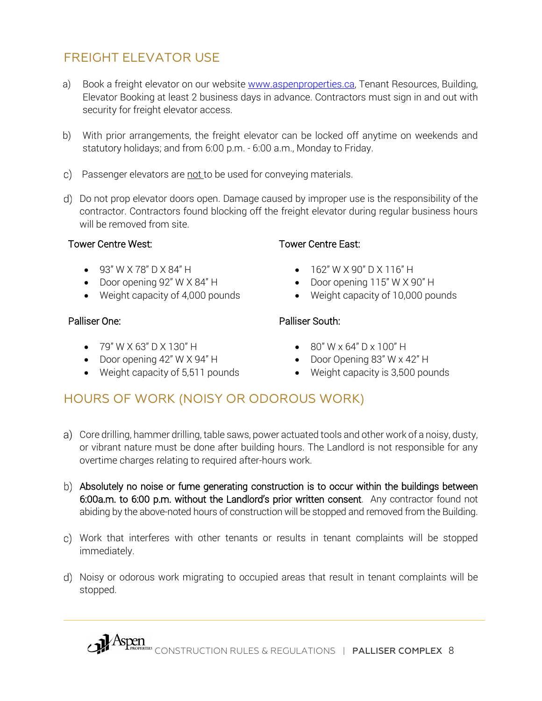## <span id="page-8-0"></span>FREIGHT ELEVATOR USE

- a) Book a freight elevator on our website [www.aspenproperties.ca,](http://www.aspenproperties.ca/) Tenant Resources, Building, Elevator Booking at least 2 business days in advance. Contractors must sign in and out with security for freight elevator access.
- b) With prior arrangements, the freight elevator can be locked off anytime on weekends and statutory holidays; and from 6:00 p.m. - 6:00 a.m., Monday to Friday.
- c) Passenger elevators are not to be used for conveying materials.
- Do not prop elevator doors open. Damage caused by improper use is the responsibility of the contractor. Contractors found blocking off the freight elevator during regular business hours will be removed from site.

#### Tower Centre West:

- 93" W X 78" D X 84" H
- Door opening 92" W X 84" H
- Weight capacity of 4,000 pounds

### Palliser One:

- 79" W X 63" D X 130" H
- Door opening 42" W X 94" H
- Weight capacity of 5,511 pounds

### Tower Centre East:

- 162" W X 90" D X 116" H
- Door opening 115" W X 90" H
- Weight capacity of 10,000 pounds

### Palliser South:

- $80''$  W x 64" D x 100" H
- Door Opening 83" W x 42" H
- Weight capacity is 3,500 pounds

## <span id="page-8-1"></span>HOURS OF WORK (NOISY OR ODOROUS WORK)

- a) Core drilling, hammer drilling, table saws, power actuated tools and other work of a noisy, dusty, or vibrant nature must be done after building hours. The Landlord is not responsible for any overtime charges relating to required after-hours work.
- b) Absolutely no noise or fume generating construction is to occur within the buildings between 6:00a.m. to 6:00 p.m. without the Landlord's prior written consent. Any contractor found not abiding by the above-noted hours of construction will be stopped and removed from the Building.
- Work that interferes with other tenants or results in tenant complaints will be stopped immediately.
- Noisy or odorous work migrating to occupied areas that result in tenant complaints will be stopped.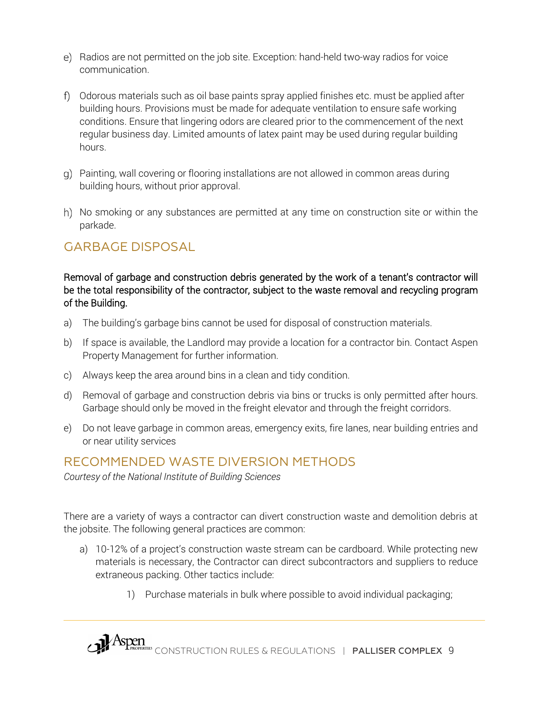- e) Radios are not permitted on the job site. Exception: hand-held two-way radios for voice communication.
- Odorous materials such as oil base paints spray applied finishes etc. must be applied after building hours. Provisions must be made for adequate ventilation to ensure safe working conditions. Ensure that lingering odors are cleared prior to the commencement of the next regular business day. Limited amounts of latex paint may be used during regular building hours.
- Painting, wall covering or flooring installations are not allowed in common areas during building hours, without prior approval.
- h) No smoking or any substances are permitted at any time on construction site or within the parkade.

### <span id="page-9-0"></span>GARBAGE DISPOSAL

Removal of garbage and construction debris generated by the work of a tenant's contractor will be the total responsibility of the contractor, subject to the waste removal and recycling program of the Building.

- a) The building's garbage bins cannot be used for disposal of construction materials.
- b) If space is available, the Landlord may provide a location for a contractor bin. Contact Aspen Property Management for further information.
- c) Always keep the area around bins in a clean and tidy condition.
- d) Removal of garbage and construction debris via bins or trucks is only permitted after hours. Garbage should only be moved in the freight elevator and through the freight corridors.
- e) Do not leave garbage in common areas, emergency exits, fire lanes, near building entries and or near utility services

### <span id="page-9-1"></span>RECOMMENDED WASTE DIVERSION METHODS

*Courtesy of the National Institute of Building Sciences*

There are a variety of ways a contractor can divert construction waste and demolition debris at the jobsite. The following general practices are common:

- a) 10-12% of a project's construction waste stream can be cardboard. While protecting new materials is necessary, the Contractor can direct subcontractors and suppliers to reduce extraneous packing. Other tactics include:
	- 1) Purchase materials in bulk where possible to avoid individual packaging;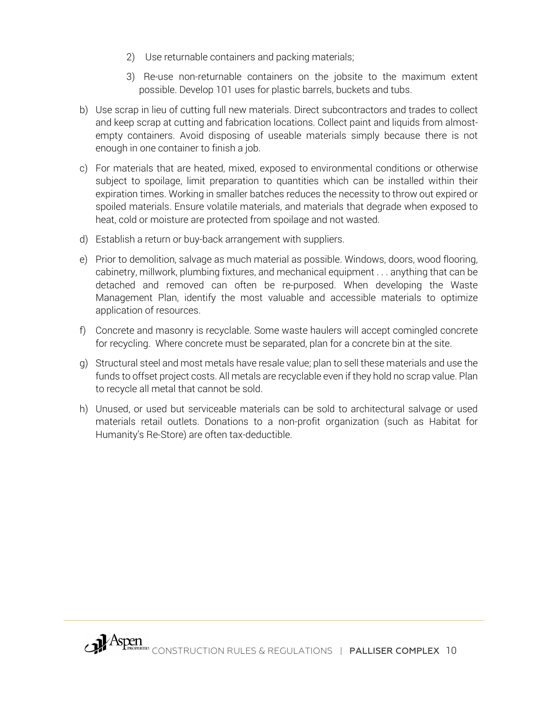- 2) Use returnable containers and packing materials;
- 3) Re-use non-returnable containers on the jobsite to the maximum extent possible. Develop 101 uses for plastic barrels, buckets and tubs.
- b) Use scrap in lieu of cutting full new materials. Direct subcontractors and trades to collect and keep scrap at cutting and fabrication locations. Collect paint and liquids from almostempty containers. Avoid disposing of useable materials simply because there is not enough in one container to finish a job.
- c) For materials that are heated, mixed, exposed to environmental conditions or otherwise subject to spoilage, limit preparation to quantities which can be installed within their expiration times. Working in smaller batches reduces the necessity to throw out expired or spoiled materials. Ensure volatile materials, and materials that degrade when exposed to heat, cold or moisture are protected from spoilage and not wasted.
- d) Establish a return or buy-back arrangement with suppliers.
- e) Prior to demolition, salvage as much material as possible. Windows, doors, wood flooring, cabinetry, millwork, plumbing fixtures, and mechanical equipment . . . anything that can be detached and removed can often be re-purposed. When developing the Waste Management Plan, identify the most valuable and accessible materials to optimize application of resources.
- f) Concrete and masonry is recyclable. Some waste haulers will accept comingled concrete for recycling. Where concrete must be separated, plan for a concrete bin at the site.
- g) Structural steel and most metals have resale value; plan to sell these materials and use the funds to offset project costs. All metals are recyclable even if they hold no scrap value. Plan to recycle all metal that cannot be sold.
- h) Unused, or used but serviceable materials can be sold to architectural salvage or used materials retail outlets. Donations to a non-profit organization (such as Habitat for Humanity's Re-Store) are often tax-deductible.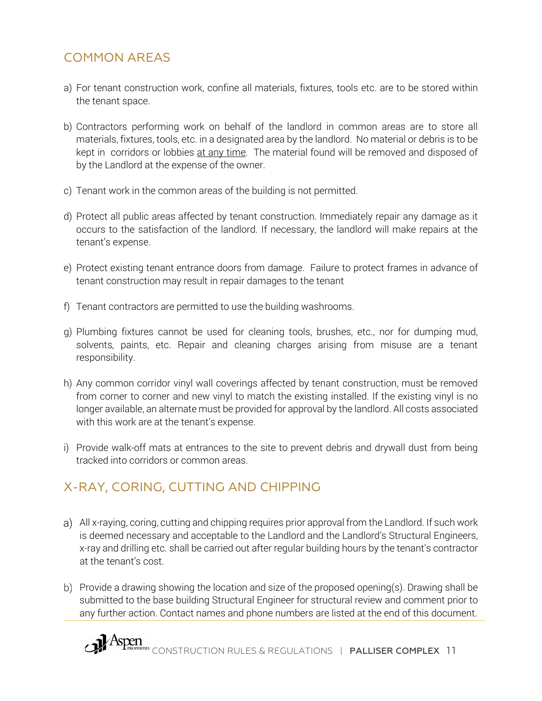## <span id="page-11-0"></span>COMMON AREAS

- a) For tenant construction work, confine all materials, fixtures, tools etc. are to be stored within the tenant space.
- b) Contractors performing work on behalf of the landlord in common areas are to store all materials, fixtures, tools, etc. in a designated area by the landlord. No material or debris is to be kept in corridors or lobbies at any time. The material found will be removed and disposed of by the Landlord at the expense of the owner.
- c) Tenant work in the common areas of the building is not permitted.
- d) Protect all public areas affected by tenant construction. Immediately repair any damage as it occurs to the satisfaction of the landlord. If necessary, the landlord will make repairs at the tenant's expense.
- e) Protect existing tenant entrance doors from damage. Failure to protect frames in advance of tenant construction may result in repair damages to the tenant
- f) Tenant contractors are permitted to use the building washrooms.
- g) Plumbing fixtures cannot be used for cleaning tools, brushes, etc., nor for dumping mud, solvents, paints, etc. Repair and cleaning charges arising from misuse are a tenant responsibility.
- h) Any common corridor vinyl wall coverings affected by tenant construction, must be removed from corner to corner and new vinyl to match the existing installed. If the existing vinyl is no longer available, an alternate must be provided for approval by the landlord. All costs associated with this work are at the tenant's expense.
- i) Provide walk-off mats at entrances to the site to prevent debris and drywall dust from being tracked into corridors or common areas.

## <span id="page-11-1"></span>X-RAY, CORING, CUTTING AND CHIPPING

- All x-raying, coring, cutting and chipping requires prior approval from the Landlord. If such work is deemed necessary and acceptable to the Landlord and the Landlord's Structural Engineers, x-ray and drilling etc. shall be carried out after regular building hours by the tenant's contractor at the tenant's cost.
- b) Provide a drawing showing the location and size of the proposed opening(s). Drawing shall be submitted to the base building Structural Engineer for structural review and comment prior to any further action. Contact names and phone numbers are listed at the end of this document.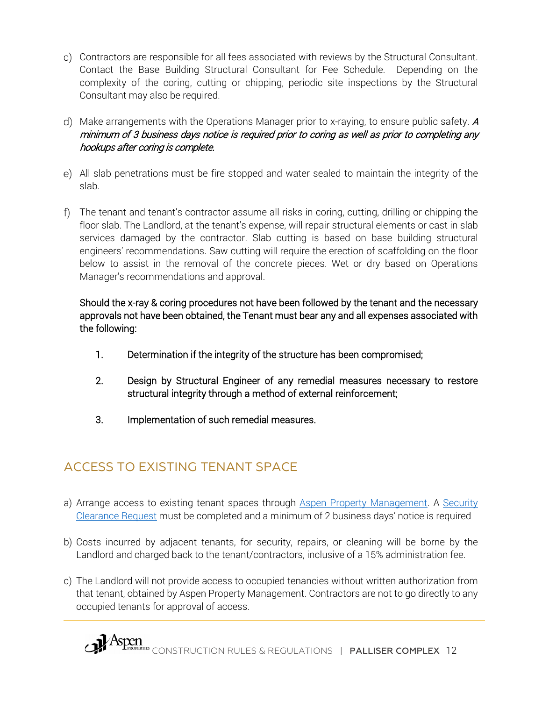- Contractors are responsible for all fees associated with reviews by the Structural Consultant. Contact the Base Building Structural Consultant for Fee Schedule. Depending on the complexity of the coring, cutting or chipping, periodic site inspections by the Structural Consultant may also be required.
- d) Make arrangements with the Operations Manager prior to x-raying, to ensure public safety.  $A$ minimum of 3 business days notice is required prior to coring as well as prior to completing any hookups after coring is complete.
- All slab penetrations must be fire stopped and water sealed to maintain the integrity of the slab.
- The tenant and tenant's contractor assume all risks in coring, cutting, drilling or chipping the floor slab. The Landlord, at the tenant's expense, will repair structural elements or cast in slab services damaged by the contractor. Slab cutting is based on base building structural engineers' recommendations. Saw cutting will require the erection of scaffolding on the floor below to assist in the removal of the concrete pieces. Wet or dry based on Operations Manager's recommendations and approval.

### Should the x-ray & coring procedures not have been followed by the tenant and the necessary approvals not have been obtained, the Tenant must bear any and all expenses associated with the following:

- 1. Determination if the integrity of the structure has been compromised;
- 2. Design by Structural Engineer of any remedial measures necessary to restore structural integrity through a method of external reinforcement;
- 3. Implementation of such remedial measures.

# <span id="page-12-0"></span>ACCESS TO EXISTING TENANT SPACE

- a) Arrange access to existing tenant spaces through Aspen Property Management. A Security [Clearance Request](https://aspenproperties.wufoo.com/forms/k1uhfpvr1b049ra/) must be completed and a minimum of 2 business days' notice is required
- b) Costs incurred by adjacent tenants, for security, repairs, or cleaning will be borne by the Landlord and charged back to the tenant/contractors, inclusive of a 15% administration fee.
- c) The Landlord will not provide access to occupied tenancies without written authorization from that tenant, obtained by Aspen Property Management. Contractors are not to go directly to any occupied tenants for approval of access.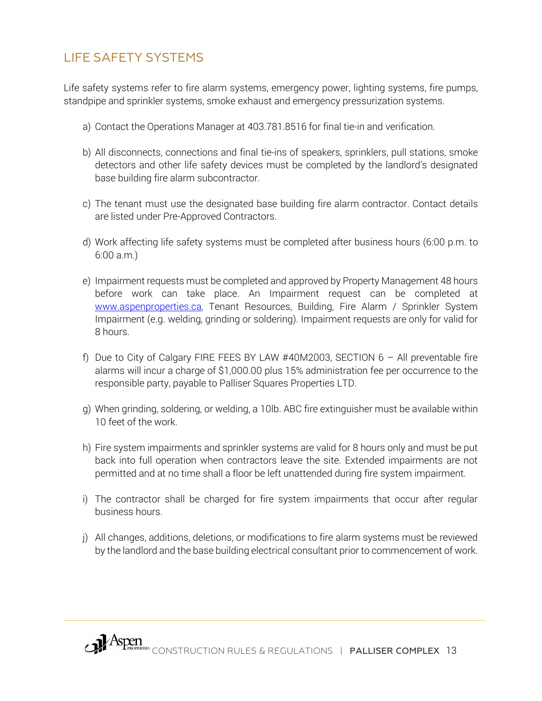## <span id="page-13-0"></span>LIFE SAFETY SYSTEMS

Life safety systems refer to fire alarm systems, emergency power, lighting systems, fire pumps, standpipe and sprinkler systems, smoke exhaust and emergency pressurization systems.

- a) Contact the Operations Manager at 403.781.8516 for final tie-in and verification.
- b) All disconnects, connections and final tie-ins of speakers, sprinklers, pull stations, smoke detectors and other life safety devices must be completed by the landlord's designated base building fire alarm subcontractor.
- c) The tenant must use the designated base building fire alarm contractor. Contact details are listed under Pre-Approved Contractors.
- d) Work affecting life safety systems must be completed after business hours (6:00 p.m. to 6:00 a.m.)
- e) Impairment requests must be completed and approved by Property Management 48 hours before work can take place. An Impairment request can be completed at [www.aspenproperties.ca,](http://www.aspenproperties.ca/) Tenant Resources, Building, Fire Alarm / Sprinkler System Impairment (e.g. welding, grinding or soldering). Impairment requests are only for valid for 8 hours.
- f) Due to City of Calgary FIRE FEES BY LAW #40M2003, SECTION  $6 -$  All preventable fire alarms will incur a charge of \$1,000.00 plus 15% administration fee per occurrence to the responsible party, payable to Palliser Squares Properties LTD.
- g) When grinding, soldering, or welding, a 10lb. ABC fire extinguisher must be available within 10 feet of the work.
- h) Fire system impairments and sprinkler systems are valid for 8 hours only and must be put back into full operation when contractors leave the site. Extended impairments are not permitted and at no time shall a floor be left unattended during fire system impairment.
- i) The contractor shall be charged for fire system impairments that occur after regular business hours.
- j) All changes, additions, deletions, or modifications to fire alarm systems must be reviewed by the landlord and the base building electrical consultant prior to commencement of work.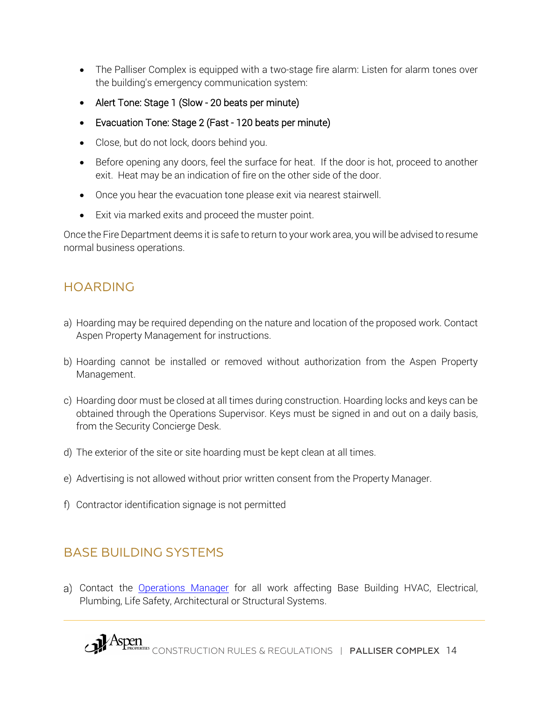- The Palliser Complex is equipped with a two-stage fire alarm: Listen for alarm tones over the building's emergency communication system:
- Alert Tone: Stage 1 (Slow 20 beats per minute)
- Evacuation Tone: Stage 2 (Fast 120 beats per minute)
- Close, but do not lock, doors behind you.
- Before opening any doors, feel the surface for heat. If the door is hot, proceed to another exit. Heat may be an indication of fire on the other side of the door.
- Once you hear the evacuation tone please exit via nearest stairwell.
- Exit via marked exits and proceed the muster point.

Once the Fire Department deems it is safe to return to your work area, you will be advised to resume normal business operations.

# <span id="page-14-0"></span>HOARDING

- a) Hoarding may be required depending on the nature and location of the proposed work. Contact Aspen Property Management for instructions.
- b) Hoarding cannot be installed or removed without authorization from the Aspen Property Management.
- c) Hoarding door must be closed at all times during construction. Hoarding locks and keys can be obtained through the Operations Supervisor. Keys must be signed in and out on a daily basis, from the Security Concierge Desk.
- d) The exterior of the site or site hoarding must be kept clean at all times.
- e) Advertising is not allowed without prior written consent from the Property Manager.
- f) Contractor identification signage is not permitted

## <span id="page-14-1"></span>BASE BUILDING SYSTEMS

a) Contact the Operations Manager for all work affecting Base Building HVAC, Electrical, Plumbing, Life Safety, Architectural or Structural Systems.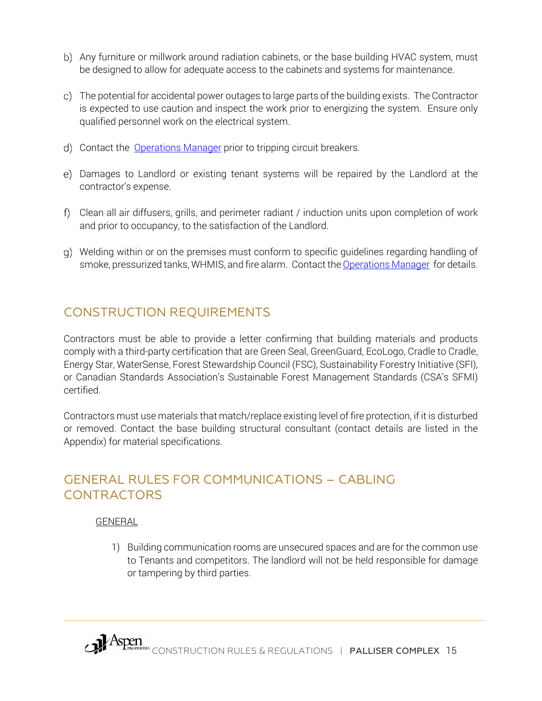- b) Any furniture or millwork around radiation cabinets, or the base building HVAC system, must be designed to allow for adequate access to the cabinets and systems for maintenance.
- The potential for accidental power outages to large parts of the building exists. The Contractor is expected to use caution and inspect the work prior to energizing the system. Ensure only qualified personnel work on the electrical system.
- d) Contact the Operations Manager prior to tripping circuit breakers.
- Damages to Landlord or existing tenant systems will be repaired by the Landlord at the contractor's expense.
- Clean all air diffusers, grills, and perimeter radiant / induction units upon completion of work and prior to occupancy, to the satisfaction of the Landlord.
- Welding within or on the premises must conform to specific guidelines regarding handling of smoke, pressurized tanks, WHMIS, and fire alarm. Contact the Operations Manager for details.

## <span id="page-15-0"></span>CONSTRUCTION REQUIREMENTS

Contractors must be able to provide a letter confirming that building materials and products comply with a third-party certification that are Green Seal, GreenGuard, EcoLogo, Cradle to Cradle, Energy Star, WaterSense, Forest Stewardship Council (FSC), Sustainability Forestry Initiative (SFI), or Canadian Standards Association's Sustainable Forest Management Standards (CSA's SFMI) certified.

Contractors must use materials that match/replace existing level of fire protection, if it is disturbed or removed. Contact the base building structural consultant (contact details are listed in the Appendix) for material specifications.

### <span id="page-15-1"></span>GENERAL RULES FOR COMMUNICATIONS – CABLING **CONTRACTORS**

### GENERAL

1) Building communication rooms are unsecured spaces and are for the common use to Tenants and competitors. The landlord will not be held responsible for damage or tampering by third parties.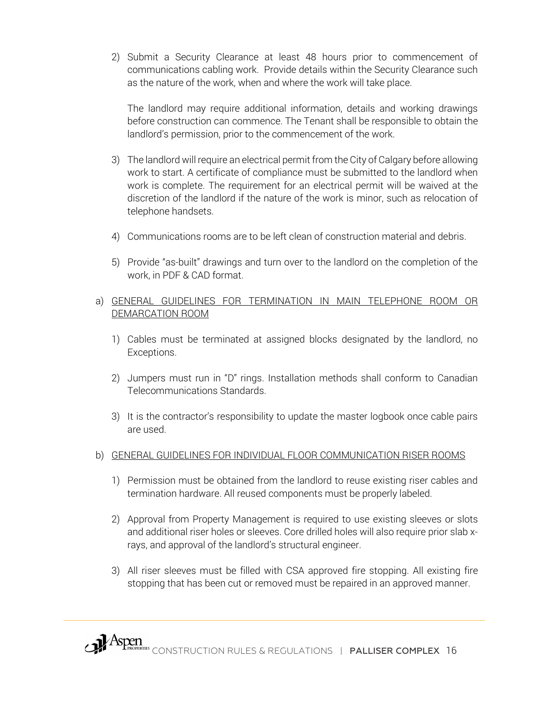2) Submit a Security Clearance at least 48 hours prior to commencement of communications cabling work. Provide details within the Security Clearance such as the nature of the work, when and where the work will take place.

The landlord may require additional information, details and working drawings before construction can commence. The Tenant shall be responsible to obtain the landlord's permission, prior to the commencement of the work.

- 3) The landlord will require an electrical permit from the City of Calgary before allowing work to start. A certificate of compliance must be submitted to the landlord when work is complete. The requirement for an electrical permit will be waived at the discretion of the landlord if the nature of the work is minor, such as relocation of telephone handsets.
- 4) Communications rooms are to be left clean of construction material and debris.
- 5) Provide "as-built" drawings and turn over to the landlord on the completion of the work, in PDF & CAD format.

#### a) GENERAL GUIDELINES FOR TERMINATION IN MAIN TELEPHONE ROOM OR DEMARCATION ROOM

- 1) Cables must be terminated at assigned blocks designated by the landlord, no Exceptions.
- 2) Jumpers must run in "D" rings. Installation methods shall conform to Canadian Telecommunications Standards.
- 3) It is the contractor's responsibility to update the master logbook once cable pairs are used.

#### b) GENERAL GUIDELINES FOR INDIVIDUAL FLOOR COMMUNICATION RISER ROOMS

- 1) Permission must be obtained from the landlord to reuse existing riser cables and termination hardware. All reused components must be properly labeled.
- 2) Approval from Property Management is required to use existing sleeves or slots and additional riser holes or sleeves. Core drilled holes will also require prior slab xrays, and approval of the landlord's structural engineer.
- 3) All riser sleeves must be filled with CSA approved fire stopping. All existing fire stopping that has been cut or removed must be repaired in an approved manner.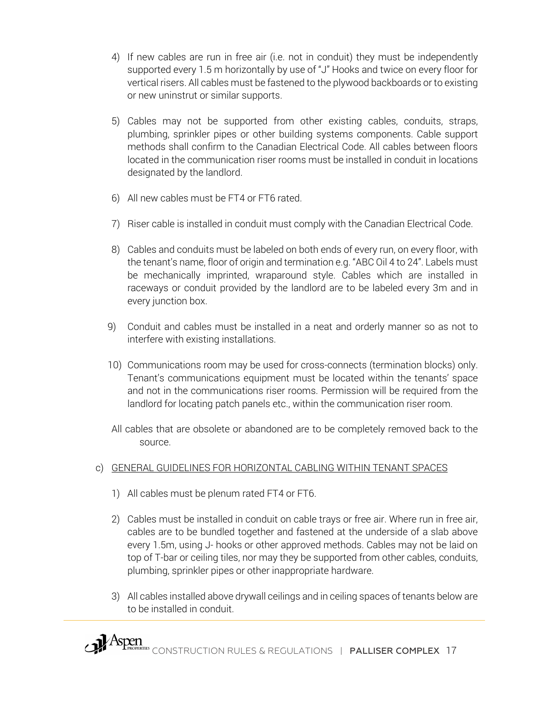- 4) If new cables are run in free air (i.e. not in conduit) they must be independently supported every 1.5 m horizontally by use of "J" Hooks and twice on every floor for vertical risers. All cables must be fastened to the plywood backboards or to existing or new uninstrut or similar supports.
- 5) Cables may not be supported from other existing cables, conduits, straps, plumbing, sprinkler pipes or other building systems components. Cable support methods shall confirm to the Canadian Electrical Code. All cables between floors located in the communication riser rooms must be installed in conduit in locations designated by the landlord.
- 6) All new cables must be FT4 or FT6 rated.
- 7) Riser cable is installed in conduit must comply with the Canadian Electrical Code.
- 8) Cables and conduits must be labeled on both ends of every run, on every floor, with the tenant's name, floor of origin and termination e.g. "ABC Oil 4 to 24". Labels must be mechanically imprinted, wraparound style. Cables which are installed in raceways or conduit provided by the landlord are to be labeled every 3m and in every junction box.
- 9) Conduit and cables must be installed in a neat and orderly manner so as not to interfere with existing installations.
- 10) Communications room may be used for cross-connects (termination blocks) only. Tenant's communications equipment must be located within the tenants' space and not in the communications riser rooms. Permission will be required from the landlord for locating patch panels etc., within the communication riser room.
- All cables that are obsolete or abandoned are to be completely removed back to the source.

### c) GENERAL GUIDELINES FOR HORIZONTAL CABLING WITHIN TENANT SPACES

- 1) All cables must be plenum rated FT4 or FT6.
- 2) Cables must be installed in conduit on cable trays or free air. Where run in free air, cables are to be bundled together and fastened at the underside of a slab above every 1.5m, using J- hooks or other approved methods. Cables may not be laid on top of T-bar or ceiling tiles, nor may they be supported from other cables, conduits, plumbing, sprinkler pipes or other inappropriate hardware.
- 3) All cables installed above drywall ceilings and in ceiling spaces of tenants below are to be installed in conduit.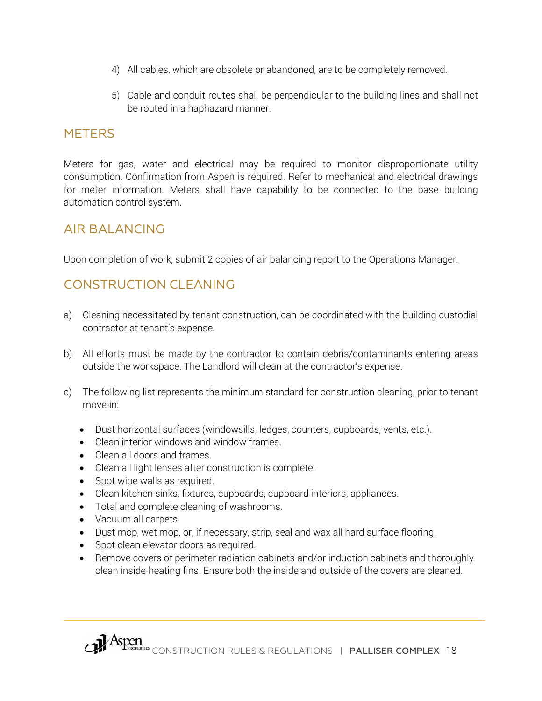- 4) All cables, which are obsolete or abandoned, are to be completely removed.
- 5) Cable and conduit routes shall be perpendicular to the building lines and shall not be routed in a haphazard manner.

### <span id="page-18-0"></span>**METERS**

Meters for gas, water and electrical may be required to monitor disproportionate utility consumption. Confirmation from Aspen is required. Refer to mechanical and electrical drawings for meter information. Meters shall have capability to be connected to the base building automation control system.

### <span id="page-18-1"></span>AIR BALANCING

Upon completion of work, submit 2 copies of air balancing report to the Operations Manager.

## <span id="page-18-2"></span>CONSTRUCTION CLEANING

- a) Cleaning necessitated by tenant construction, can be coordinated with the building custodial contractor at tenant's expense.
- b) All efforts must be made by the contractor to contain debris/contaminants entering areas outside the workspace. The Landlord will clean at the contractor's expense.
- c) The following list represents the minimum standard for construction cleaning, prior to tenant move-in:
	- Dust horizontal surfaces (windowsills, ledges, counters, cupboards, vents, etc.).
	- Clean interior windows and window frames.
	- Clean all doors and frames.
	- Clean all light lenses after construction is complete.
	- Spot wipe walls as required.
	- Clean kitchen sinks, fixtures, cupboards, cupboard interiors, appliances.
	- Total and complete cleaning of washrooms.
	- Vacuum all carpets.
	- Dust mop, wet mop, or, if necessary, strip, seal and wax all hard surface flooring.
	- Spot clean elevator doors as required.
	- Remove covers of perimeter radiation cabinets and/or induction cabinets and thoroughly clean inside-heating fins. Ensure both the inside and outside of the covers are cleaned.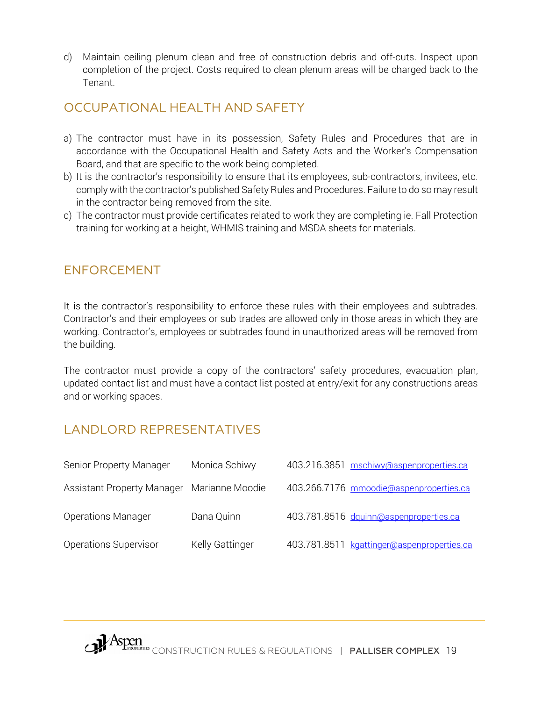d) Maintain ceiling plenum clean and free of construction debris and off-cuts. Inspect upon completion of the project. Costs required to clean plenum areas will be charged back to the Tenant.

### <span id="page-19-0"></span>OCCUPATIONAL HEALTH AND SAFETY

- a) The contractor must have in its possession, Safety Rules and Procedures that are in accordance with the Occupational Health and Safety Acts and the Worker's Compensation Board, and that are specific to the work being completed.
- b) It is the contractor's responsibility to ensure that its employees, sub-contractors, invitees, etc. comply with the contractor's published Safety Rules and Procedures. Failure to do so may result in the contractor being removed from the site.
- c) The contractor must provide certificates related to work they are completing ie. Fall Protection training for working at a height, WHMIS training and MSDA sheets for materials.

### <span id="page-19-1"></span>ENFORCEMENT

It is the contractor's responsibility to enforce these rules with their employees and subtrades. Contractor's and their employees or sub trades are allowed only in those areas in which they are working. Contractor's, employees or subtrades found in unauthorized areas will be removed from the building.

The contractor must provide a copy of the contractors' safety procedures, evacuation plan, updated contact list and must have a contact list posted at entry/exit for any constructions areas and or working spaces.

## <span id="page-19-2"></span>LANDLORD REPRESENTATIVES

| Senior Property Manager           | Monica Schiwy   | 403.216.3851 mschiwy@aspenproperties.ca    |
|-----------------------------------|-----------------|--------------------------------------------|
| <b>Assistant Property Manager</b> | Marianne Moodie | 403.266.7176 mmoodie@aspenproperties.ca    |
| <b>Operations Manager</b>         | Dana Quinn      | 403.781.8516 dquinn@aspenproperties.ca     |
| Operations Supervisor             | Kelly Gattinger | 403.781.8511 kgattinger@aspenproperties.ca |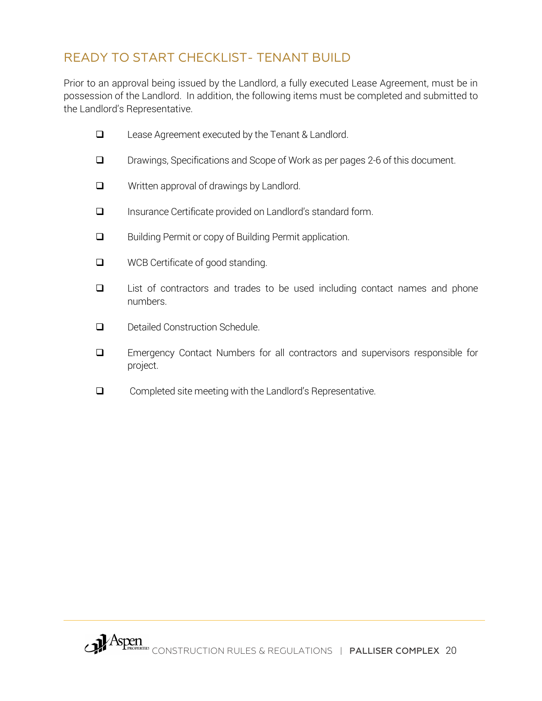## READY TO START CHECKLIST- TENANT BUILD

Prior to an approval being issued by the Landlord, a fully executed Lease Agreement, must be in possession of the Landlord. In addition, the following items must be completed and submitted to the Landlord's Representative.

- □ Lease Agreement executed by the Tenant & Landlord.
- Drawings, Specifications and Scope of Work as per pages 2-6 of this document.
- **Q** Written approval of drawings by Landlord.
- Insurance Certificate provided on Landlord's standard form.
- **Building Permit or copy of Building Permit application.**
- **Q** WCB Certificate of good standing.
- $\Box$  List of contractors and trades to be used including contact names and phone numbers.
- Detailed Construction Schedule.
- Emergency Contact Numbers for all contractors and supervisors responsible for project.
- □ Completed site meeting with the Landlord's Representative.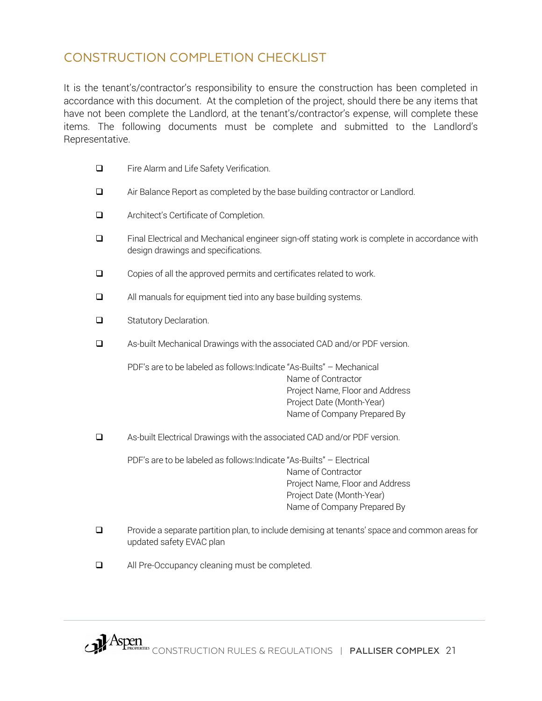### <span id="page-21-0"></span>CONSTRUCTION COMPLETION CHECKLIST

It is the tenant's/contractor's responsibility to ensure the construction has been completed in accordance with this document. At the completion of the project, should there be any items that have not been complete the Landlord, at the tenant's/contractor's expense, will complete these items. The following documents must be complete and submitted to the Landlord's Representative.

- □ Fire Alarm and Life Safety Verification.
- Air Balance Report as completed by the base building contractor or Landlord.
- **Q** Architect's Certificate of Completion.
- □ Final Electrical and Mechanical engineer sign-off stating work is complete in accordance with design drawings and specifications.
- $\Box$  Copies of all the approved permits and certificates related to work.
- **Q** All manuals for equipment tied into any base building systems.
- Statutory Declaration.
- As-built Mechanical Drawings with the associated CAD and/or PDF version.

PDF's are to be labeled as follows:Indicate "As-Builts" – Mechanical Name of Contractor Project Name, Floor and Address Project Date (Month-Year) Name of Company Prepared By

As-built Electrical Drawings with the associated CAD and/or PDF version.

PDF's are to be labeled as follows:Indicate "As-Builts" – Electrical Name of Contractor Project Name, Floor and Address Project Date (Month-Year) Name of Company Prepared By

- **Q** Provide a separate partition plan, to include demising at tenants' space and common areas for updated safety EVAC plan
- □ All Pre-Occupancy cleaning must be completed.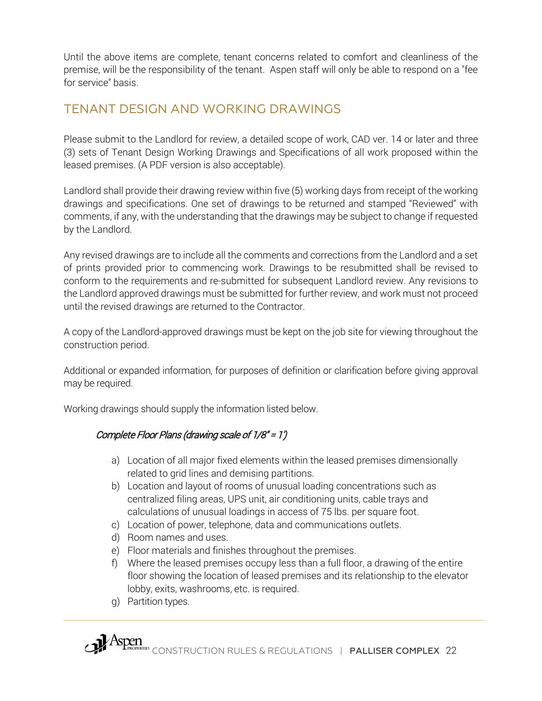Until the above items are complete, tenant concerns related to comfort and cleanliness of the premise, will be the responsibility of the tenant. Aspen staff will only be able to respond on a "fee for service" basis.

## <span id="page-22-0"></span>TENANT DESIGN AND WORKING DRAWINGS

Please submit to the Landlord for review, a detailed scope of work, CAD ver. 14 or later and three (3) sets of Tenant Design Working Drawings and Specifications of all work proposed within the leased premises. (A PDF version is also acceptable).

Landlord shall provide their drawing review within five (5) working days from receipt of the working drawings and specifications. One set of drawings to be returned and stamped "Reviewed" with comments, if any, with the understanding that the drawings may be subject to change if requested by the Landlord.

Any revised drawings are to include all the comments and corrections from the Landlord and a set of prints provided prior to commencing work. Drawings to be resubmitted shall be revised to conform to the requirements and re-submitted for subsequent Landlord review. Any revisions to the Landlord approved drawings must be submitted for further review, and work must not proceed until the revised drawings are returned to the Contractor.

A copy of the Landlord-approved drawings must be kept on the job site for viewing throughout the construction period.

Additional or expanded information, for purposes of definition or clarification before giving approval may be required.

Working drawings should supply the information listed below.

### Complete Floor Plans (drawing scale of 1/8" = 1')

- a) Location of all major fixed elements within the leased premises dimensionally related to grid lines and demising partitions.
- b) Location and layout of rooms of unusual loading concentrations such as centralized filing areas, UPS unit, air conditioning units, cable trays and calculations of unusual loadings in access of 75 lbs. per square foot.
- c) Location of power, telephone, data and communications outlets.
- d) Room names and uses.
- e) Floor materials and finishes throughout the premises.
- f) Where the leased premises occupy less than a full floor, a drawing of the entire floor showing the location of leased premises and its relationship to the elevator lobby, exits, washrooms, etc. is required.
- g) Partition types.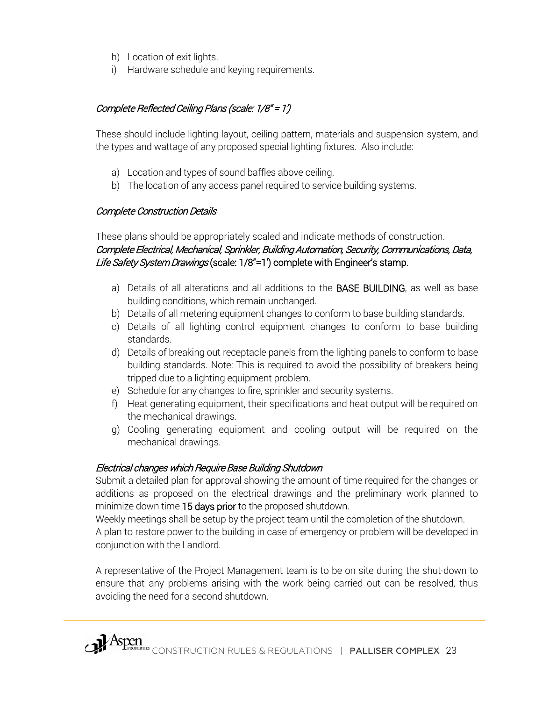- h) Location of exit lights.
- i) Hardware schedule and keying requirements.

### Complete Reflected Ceiling Plans (scale: 1/8" = 1')

These should include lighting layout, ceiling pattern, materials and suspension system, and the types and wattage of any proposed special lighting fixtures. Also include:

- a) Location and types of sound baffles above ceiling.
- b) The location of any access panel required to service building systems.

#### Complete Construction Details

These plans should be appropriately scaled and indicate methods of construction. Complete Electrical, Mechanical, Sprinkler, Building Automation, Security, Communications, Data, Life Safety System Drawings (scale: 1/8"=1') complete with Engineer's stamp.

- a) Details of all alterations and all additions to the BASE BUILDING, as well as base building conditions, which remain unchanged.
- b) Details of all metering equipment changes to conform to base building standards.
- c) Details of all lighting control equipment changes to conform to base building standards.
- d) Details of breaking out receptacle panels from the lighting panels to conform to base building standards. Note: This is required to avoid the possibility of breakers being tripped due to a lighting equipment problem.
- e) Schedule for any changes to fire, sprinkler and security systems.
- f) Heat generating equipment, their specifications and heat output will be required on the mechanical drawings.
- g) Cooling generating equipment and cooling output will be required on the mechanical drawings.

### Electrical changes which Require Base Building Shutdown

Submit a detailed plan for approval showing the amount of time required for the changes or additions as proposed on the electrical drawings and the preliminary work planned to minimize down time 15 days prior to the proposed shutdown.

Weekly meetings shall be setup by the project team until the completion of the shutdown.

A plan to restore power to the building in case of emergency or problem will be developed in conjunction with the Landlord.

A representative of the Project Management team is to be on site during the shut-down to ensure that any problems arising with the work being carried out can be resolved, thus avoiding the need for a second shutdown.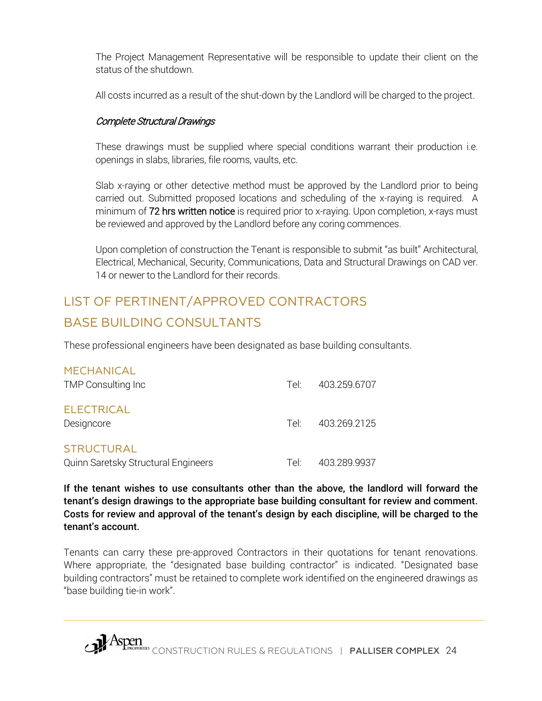The Project Management Representative will be responsible to update their client on the status of the shutdown.

All costs incurred as a result of the shut-down by the Landlord will be charged to the project.

### Complete Structural Drawings

These drawings must be supplied where special conditions warrant their production i.e. openings in slabs, libraries, file rooms, vaults, etc.

Slab x-raying or other detective method must be approved by the Landlord prior to being carried out. Submitted proposed locations and scheduling of the x-raying is required. A minimum of 72 hrs written notice is required prior to x-raying. Upon completion, x-rays must be reviewed and approved by the Landlord before any coring commences.

Upon completion of construction the Tenant is responsible to submit "as built" Architectural, Electrical, Mechanical, Security, Communications, Data and Structural Drawings on CAD ver. 14 or newer to the Landlord for their records.

# <span id="page-24-0"></span>LIST OF PERTINENT/APPROVED CONTRACTORS BASE BUILDING CONSULTANTS

These professional engineers have been designated as base building consultants.

| <b>MECHANICAL</b>                   |      |                   |
|-------------------------------------|------|-------------------|
| TMP Consulting Inc                  | Teli | 403.259.6707      |
| <b>ELECTRICAL</b><br>Designcore     |      | Tel: 403.269.2125 |
| <b>STRUCTURAL</b>                   |      |                   |
| Quinn Saretsky Structural Engineers | Tel: | 403.289.9937      |

If the tenant wishes to use consultants other than the above, the landlord will forward the tenant's design drawings to the appropriate base building consultant for review and comment. Costs for review and approval of the tenant's design by each discipline, will be charged to the tenant's account.

Tenants can carry these pre-approved Contractors in their quotations for tenant renovations. Where appropriate, the "designated base building contractor" is indicated. "Designated base building contractors" must be retained to complete work identified on the engineered drawings as "base building tie-in work".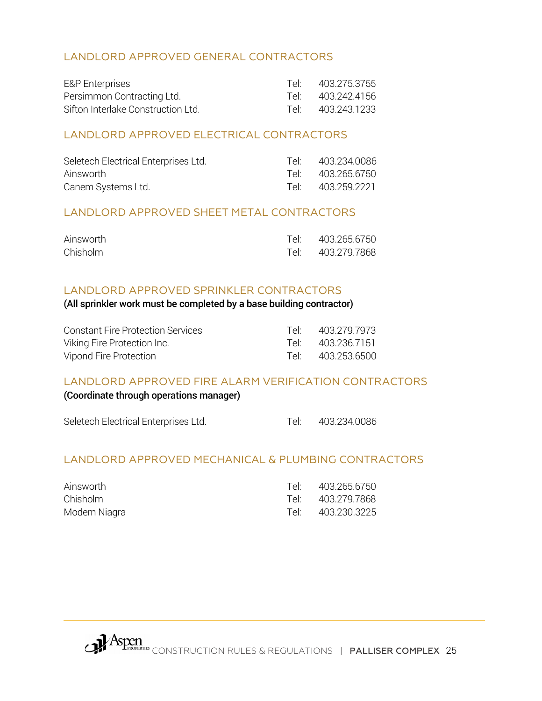### LANDLORD APPROVED GENERAL CONTRACTORS

| <b>E&amp;P</b> Enterprises         | Teli             | 403.275.3755 |
|------------------------------------|------------------|--------------|
| Persimmon Contracting Ltd.         | Tel <sup>.</sup> | 403.242.4156 |
| Sifton Interlake Construction Ltd. | ⊡∩ا ⊤            | 403.243.1233 |

#### LANDLORD APPROVED ELECTRICAL CONTRACTORS

| Seletech Electrical Enterprises Ltd. | Tel <sup>.</sup> | 403.234.0086 |
|--------------------------------------|------------------|--------------|
| Ainsworth                            | Tel <sup>.</sup> | 403.265.6750 |
| Canem Systems Ltd.                   | Tel <sup>.</sup> | 403.259.2221 |

#### LANDLORD APPROVED SHEET METAL CONTRACTORS

| Ainsworth | Tel: 403.265.6750 |
|-----------|-------------------|
| Chisholm  | Tel: 403.279.7868 |

#### LANDLORD APPROVED SPRINKLER CONTRACTORS

#### (All sprinkler work must be completed by a base building contractor)

| <b>Constant Fire Protection Services</b> | Tel <sup>.</sup> | 403.279.7973      |
|------------------------------------------|------------------|-------------------|
| Viking Fire Protection Inc.              |                  | Tel: 403.236.7151 |
| Vipond Fire Protection                   |                  | Tel: 403.253.6500 |

#### LANDLORD APPROVED FIRE ALARM VERIFICATION CONTRACTORS

#### (Coordinate through operations manager)

| Seletech Electrical Enterprises Ltd. | 403.234.0086 |
|--------------------------------------|--------------|
|                                      |              |

#### LANDLORD APPROVED MECHANICAL & PLUMBING CONTRACTORS

| Ainsworth     | Tel <sup>.</sup> | 403.265.6750 |
|---------------|------------------|--------------|
| Chisholm      | Tel <sup>.</sup> | 403.279.7868 |
| Modern Niagra | Tel <sup>.</sup> | 403.230.3225 |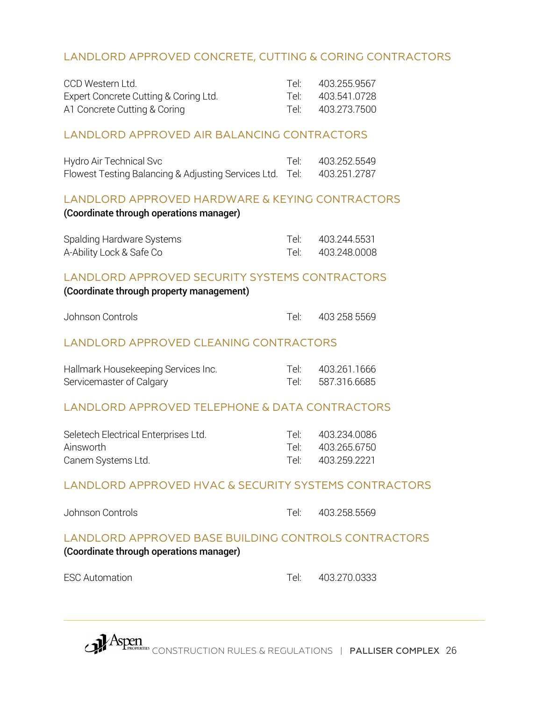### LANDLORD APPROVED CONCRETE, CUTTING & CORING CONTRACTORS

| CCD Western Ltd.                      | Tel <sup>.</sup> | 403.255.9567 |
|---------------------------------------|------------------|--------------|
| Expert Concrete Cutting & Coring Ltd. | Tel. .           | 403.541.0728 |
| A1 Concrete Cutting & Coring          | Tel. .           | 403.273.7500 |

#### LANDLORD APPROVED AIR BALANCING CONTRACTORS

| Hydro Air Technical Svc                                               | Tel: 403.252.5549 |
|-----------------------------------------------------------------------|-------------------|
| Flowest Testing Balancing & Adjusting Services Ltd. Tel: 403.251.2787 |                   |

#### LANDLORD APPROVED HARDWARE & KEYING CONTRACTORS

#### (Coordinate through operations manager)

| Spalding Hardware Systems | Tel: | 403.244.5531 |
|---------------------------|------|--------------|
| A-Ability Lock & Safe Co  |      | 403.248.0008 |

#### LANDLORD APPROVED SECURITY SYSTEMS CONTRACTORS

#### (Coordinate through property management)

| Johnson Controls |  | 403 258 5569 |
|------------------|--|--------------|
|------------------|--|--------------|

### LANDLORD APPROVED CLEANING CONTRACTORS

| Hallmark Housekeeping Services Inc. | Tel: 403.261.1666 |
|-------------------------------------|-------------------|
| Servicemaster of Calgary            | Tel: 587.316.6685 |

### LANDLORD APPROVED TELEPHONE & DATA CONTRACTORS

| Seletech Electrical Enterprises Ltd. | Tell    | 403.234.0086      |
|--------------------------------------|---------|-------------------|
| Ainsworth                            |         | Tel: 403.265.6750 |
| Canem Systems Ltd.                   | $T$ el' | 403.259.2221      |

### LANDLORD APPROVED HVAC & SECURITY SYSTEMS CONTRACTORS

| Johnson Controls |  |
|------------------|--|
|                  |  |

Johnson Controls Tel: 403.258.5569

# LANDLORD APPROVED BASE BUILDING CONTROLS CONTRACTORS

(Coordinate through operations manager)

<span id="page-26-0"></span>ESC Automation and the control of the Tel: 403.270.0333